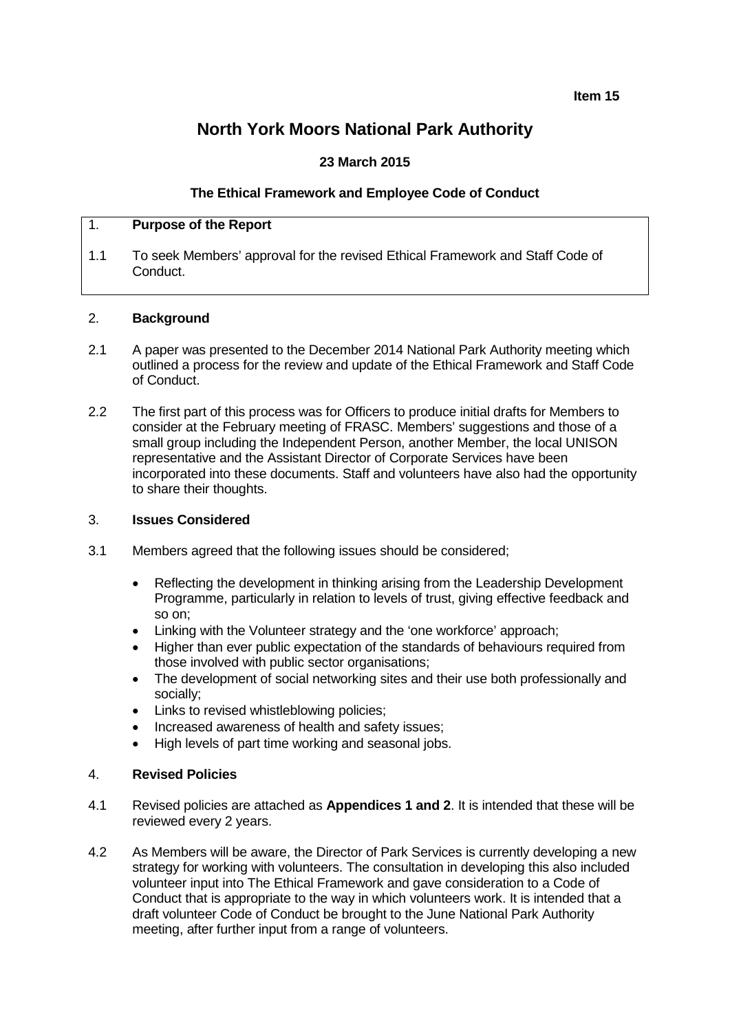**Item 15**

# **North York Moors National Park Authority**

# **23 March 2015**

## **The Ethical Framework and Employee Code of Conduct**

## 1. **Purpose of the Report**

1.1 To seek Members' approval for the revised Ethical Framework and Staff Code of Conduct.

#### 2. **Background**

- 2.1 A paper was presented to the December 2014 National Park Authority meeting which outlined a process for the review and update of the Ethical Framework and Staff Code of Conduct.
- 2.2 The first part of this process was for Officers to produce initial drafts for Members to consider at the February meeting of FRASC. Members' suggestions and those of a small group including the Independent Person, another Member, the local UNISON representative and the Assistant Director of Corporate Services have been incorporated into these documents. Staff and volunteers have also had the opportunity to share their thoughts.

#### 3. **Issues Considered**

- 3.1 Members agreed that the following issues should be considered;
	- Reflecting the development in thinking arising from the Leadership Development Programme, particularly in relation to levels of trust, giving effective feedback and so on;
	- Linking with the Volunteer strategy and the 'one workforce' approach;
	- Higher than ever public expectation of the standards of behaviours required from those involved with public sector organisations;
	- The development of social networking sites and their use both professionally and socially;
	- Links to revised whistleblowing policies:
	- Increased awareness of health and safety issues;
	- High levels of part time working and seasonal jobs.

#### 4. **Revised Policies**

- 4.1 Revised policies are attached as **Appendices 1 and 2**. It is intended that these will be reviewed every 2 years.
- 4.2 As Members will be aware, the Director of Park Services is currently developing a new strategy for working with volunteers. The consultation in developing this also included volunteer input into The Ethical Framework and gave consideration to a Code of Conduct that is appropriate to the way in which volunteers work. It is intended that a draft volunteer Code of Conduct be brought to the June National Park Authority meeting, after further input from a range of volunteers.